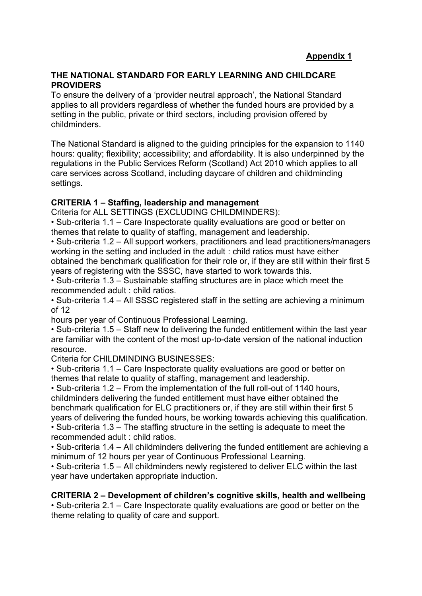#### **THE NATIONAL STANDARD FOR EARLY LEARNING AND CHILDCARE PROVIDERS**

To ensure the delivery of a 'provider neutral approach', the National Standard applies to all providers regardless of whether the funded hours are provided by a setting in the public, private or third sectors, including provision offered by childminders.

The National Standard is aligned to the guiding principles for the expansion to 1140 hours: quality; flexibility; accessibility; and affordability. It is also underpinned by the regulations in the Public Services Reform (Scotland) Act 2010 which applies to all care services across Scotland, including daycare of children and childminding settings.

## **CRITERIA 1 – Staffing, leadership and management**

Criteria for ALL SETTINGS (EXCLUDING CHILDMINDERS):

• Sub-criteria 1.1 – Care Inspectorate quality evaluations are good or better on themes that relate to quality of staffing, management and leadership.

• Sub-criteria 1.2 – All support workers, practitioners and lead practitioners/managers working in the setting and included in the adult : child ratios must have either obtained the benchmark qualification for their role or, if they are still within their first 5 years of registering with the SSSC, have started to work towards this.

• Sub-criteria 1.3 – Sustainable staffing structures are in place which meet the recommended adult : child ratios.

• Sub-criteria 1.4 – All SSSC registered staff in the setting are achieving a minimum of 12

hours per year of Continuous Professional Learning.

• Sub-criteria 1.5 – Staff new to delivering the funded entitlement within the last year are familiar with the content of the most up-to-date version of the national induction resource.

Criteria for CHILDMINDING BUSINESSES:

• Sub-criteria 1.1 – Care Inspectorate quality evaluations are good or better on themes that relate to quality of staffing, management and leadership.

• Sub-criteria 1.2 – From the implementation of the full roll-out of 1140 hours, childminders delivering the funded entitlement must have either obtained the benchmark qualification for ELC practitioners or, if they are still within their first 5 years of delivering the funded hours, be working towards achieving this qualification.

• Sub-criteria 1.3 – The staffing structure in the setting is adequate to meet the recommended adult : child ratios.

• Sub-criteria 1.4 – All childminders delivering the funded entitlement are achieving a minimum of 12 hours per year of Continuous Professional Learning.

• Sub-criteria 1.5 – All childminders newly registered to deliver ELC within the last year have undertaken appropriate induction.

#### **CRITERIA 2 – Development of children's cognitive skills, health and wellbeing**

• Sub-criteria 2.1 – Care Inspectorate quality evaluations are good or better on the theme relating to quality of care and support.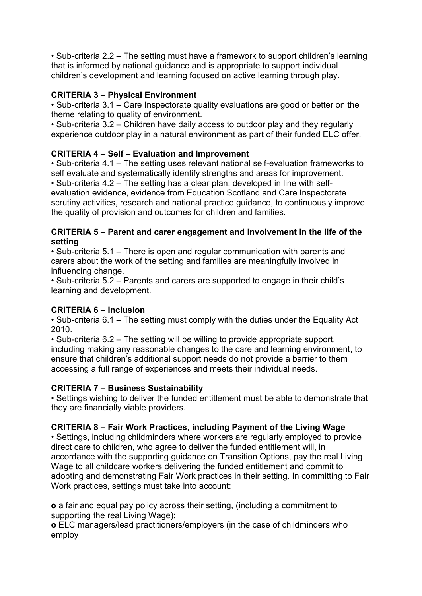• Sub-criteria 2.2 – The setting must have a framework to support children's learning that is informed by national guidance and is appropriate to support individual children's development and learning focused on active learning through play.

# **CRITERIA 3 – Physical Environment**

• Sub-criteria 3.1 – Care Inspectorate quality evaluations are good or better on the theme relating to quality of environment.

• Sub-criteria 3.2 – Children have daily access to outdoor play and they regularly experience outdoor play in a natural environment as part of their funded ELC offer.

# **CRITERIA 4 – Self – Evaluation and Improvement**

• Sub-criteria 4.1 – The setting uses relevant national self-evaluation frameworks to self evaluate and systematically identify strengths and areas for improvement. • Sub-criteria 4.2 – The setting has a clear plan, developed in line with selfevaluation evidence, evidence from Education Scotland and Care Inspectorate scrutiny activities, research and national practice guidance, to continuously improve the quality of provision and outcomes for children and families.

#### **CRITERIA 5 – Parent and carer engagement and involvement in the life of the setting**

• Sub-criteria 5.1 – There is open and regular communication with parents and carers about the work of the setting and families are meaningfully involved in influencing change.

• Sub-criteria 5.2 – Parents and carers are supported to engage in their child's learning and development.

## **CRITERIA 6 – Inclusion**

• Sub-criteria 6.1 – The setting must comply with the duties under the Equality Act 2010.

• Sub-criteria 6.2 – The setting will be willing to provide appropriate support, including making any reasonable changes to the care and learning environment, to ensure that children's additional support needs do not provide a barrier to them accessing a full range of experiences and meets their individual needs.

## **CRITERIA 7 – Business Sustainability**

• Settings wishing to deliver the funded entitlement must be able to demonstrate that they are financially viable providers.

## **CRITERIA 8 – Fair Work Practices, including Payment of the Living Wage**

• Settings, including childminders where workers are regularly employed to provide direct care to children, who agree to deliver the funded entitlement will, in accordance with the supporting guidance on Transition Options, pay the real Living Wage to all childcare workers delivering the funded entitlement and commit to adopting and demonstrating Fair Work practices in their setting. In committing to Fair Work practices, settings must take into account:

**o** a fair and equal pay policy across their setting, (including a commitment to supporting the real Living Wage):

**o** ELC managers/lead practitioners/employers (in the case of childminders who employ